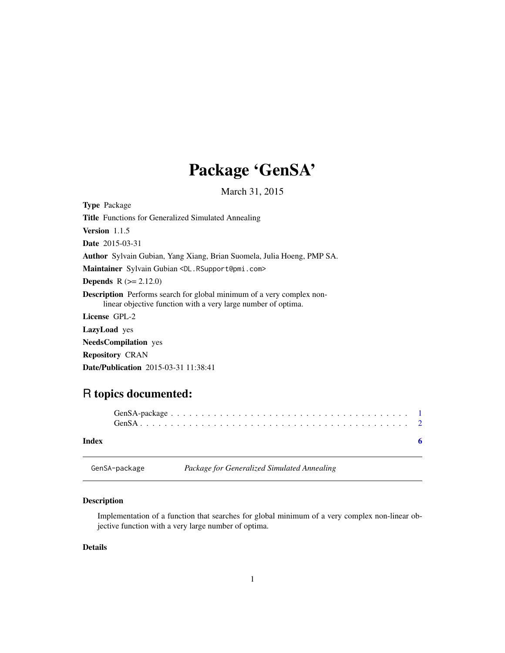## Package 'GenSA'

March 31, 2015

<span id="page-0-0"></span>Type Package Title Functions for Generalized Simulated Annealing Version 1.1.5 Date 2015-03-31 Author Sylvain Gubian, Yang Xiang, Brian Suomela, Julia Hoeng, PMP SA. Maintainer Sylvain Gubian <DL.RSupport@pmi.com> **Depends**  $R (= 2.12.0)$ Description Performs search for global minimum of a very complex nonlinear objective function with a very large number of optima. License GPL-2 LazyLoad yes NeedsCompilation yes Repository CRAN

#### Date/Publication 2015-03-31 11:38:41

### R topics documented:

| Index |  |
|-------|--|

| GenSA-package | Package for Generalized Simulated Annealing |
|---------------|---------------------------------------------|
|---------------|---------------------------------------------|

#### Description

Implementation of a function that searches for global minimum of a very complex non-linear objective function with a very large number of optima.

#### Details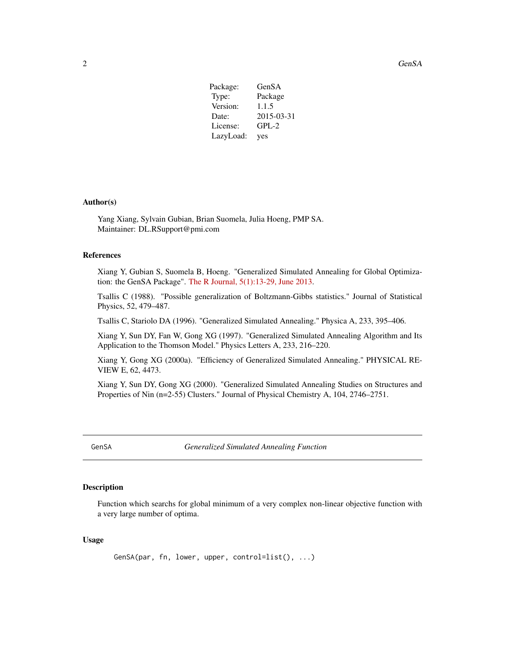<span id="page-1-0"></span>2 GenSA

| Package:  | GenSA      |
|-----------|------------|
| Type:     | Package    |
| Version:  | 1.1.5      |
| Date:     | 2015-03-31 |
| License:  | $GPL-2$    |
| LazyLoad: | yes        |

#### Author(s)

Yang Xiang, Sylvain Gubian, Brian Suomela, Julia Hoeng, PMP SA. Maintainer: DL.RSupport@pmi.com

#### References

Xiang Y, Gubian S, Suomela B, Hoeng. "Generalized Simulated Annealing for Global Optimization: the GenSA Package". [The R Journal, 5\(1\):13-29, June 2013.](http://journal.r-project.org/archive/2013-1/xiang-gubian-suomela-etal.pdf)

Tsallis C (1988). "Possible generalization of Boltzmann-Gibbs statistics." Journal of Statistical Physics, 52, 479–487.

Tsallis C, Stariolo DA (1996). "Generalized Simulated Annealing." Physica A, 233, 395–406.

Xiang Y, Sun DY, Fan W, Gong XG (1997). "Generalized Simulated Annealing Algorithm and Its Application to the Thomson Model." Physics Letters A, 233, 216–220.

Xiang Y, Gong XG (2000a). "Efficiency of Generalized Simulated Annealing." PHYSICAL RE-VIEW E, 62, 4473.

Xiang Y, Sun DY, Gong XG (2000). "Generalized Simulated Annealing Studies on Structures and Properties of Nin (n=2-55) Clusters." Journal of Physical Chemistry A, 104, 2746–2751.

GenSA *Generalized Simulated Annealing Function*

#### Description

Function which searchs for global minimum of a very complex non-linear objective function with a very large number of optima.

#### Usage

GenSA(par, fn, lower, upper, control=list(), ...)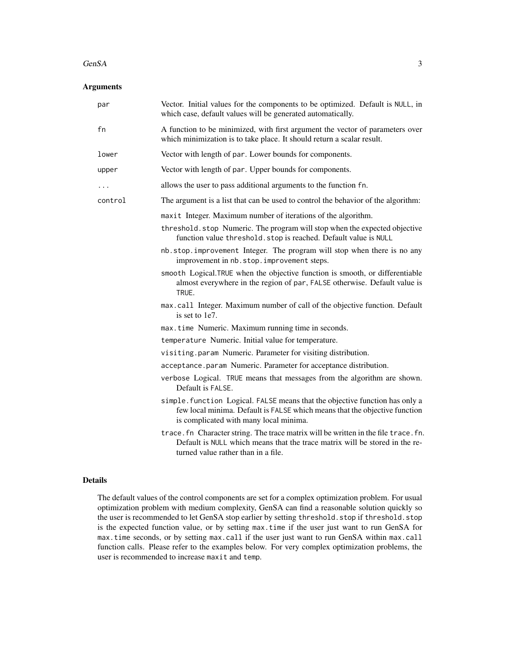#### $GenSA$  3

#### Arguments

| par     | Vector. Initial values for the components to be optimized. Default is NULL, in<br>which case, default values will be generated automatically.                                                             |
|---------|-----------------------------------------------------------------------------------------------------------------------------------------------------------------------------------------------------------|
| fn      | A function to be minimized, with first argument the vector of parameters over<br>which minimization is to take place. It should return a scalar result.                                                   |
| lower   | Vector with length of par. Lower bounds for components.                                                                                                                                                   |
| upper   | Vector with length of par. Upper bounds for components.                                                                                                                                                   |
| .       | allows the user to pass additional arguments to the function fn.                                                                                                                                          |
| control | The argument is a list that can be used to control the behavior of the algorithm:                                                                                                                         |
|         | maxit Integer. Maximum number of iterations of the algorithm.                                                                                                                                             |
|         | threshold.stop Numeric. The program will stop when the expected objective<br>function value threshold. stop is reached. Default value is NULL                                                             |
|         | nb.stop.improvement Integer. The program will stop when there is no any<br>improvement in nb. stop. improvement steps.                                                                                    |
|         | smooth Logical.TRUE when the objective function is smooth, or differentiable<br>almost everywhere in the region of par, FALSE otherwise. Default value is<br>TRUE.                                        |
|         | max.call Integer. Maximum number of call of the objective function. Default<br>is set to 1e7.                                                                                                             |
|         | max.time Numeric. Maximum running time in seconds.                                                                                                                                                        |
|         | temperature Numeric. Initial value for temperature.                                                                                                                                                       |
|         | visiting.param Numeric. Parameter for visiting distribution.                                                                                                                                              |
|         | acceptance.param Numeric. Parameter for acceptance distribution.                                                                                                                                          |
|         | verbose Logical. TRUE means that messages from the algorithm are shown.<br>Default is FALSE.                                                                                                              |
|         | simple. function Logical. FALSE means that the objective function has only a<br>few local minima. Default is FALSE which means that the objective function<br>is complicated with many local minima.      |
|         | trace. fn Character string. The trace matrix will be written in the file trace. fn.<br>Default is NULL which means that the trace matrix will be stored in the re-<br>turned value rather than in a file. |

#### Details

The default values of the control components are set for a complex optimization problem. For usual optimization problem with medium complexity, GenSA can find a reasonable solution quickly so the user is recommended to let GenSA stop earlier by setting threshold.stop if threshold.stop is the expected function value, or by setting max.time if the user just want to run GenSA for max.time seconds, or by setting max.call if the user just want to run GenSA within max.call function calls. Please refer to the examples below. For very complex optimization problems, the user is recommended to increase maxit and temp.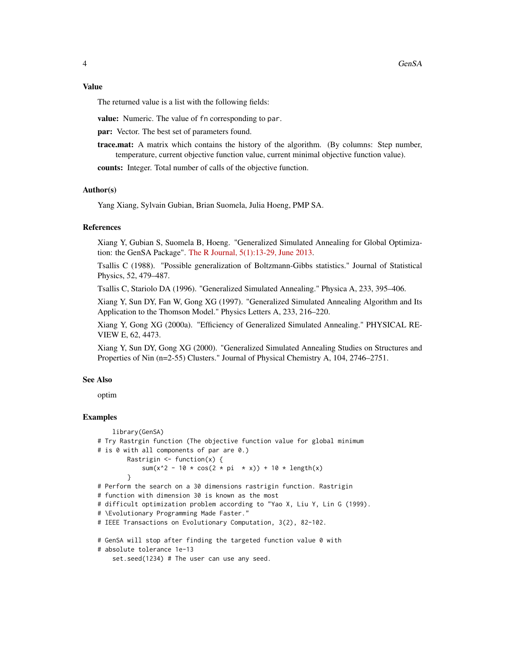#### Value

The returned value is a list with the following fields:

value: Numeric. The value of fn corresponding to par.

par: Vector. The best set of parameters found.

trace.mat: A matrix which contains the history of the algorithm. (By columns: Step number, temperature, current objective function value, current minimal objective function value).

counts: Integer. Total number of calls of the objective function.

#### Author(s)

Yang Xiang, Sylvain Gubian, Brian Suomela, Julia Hoeng, PMP SA.

#### References

Xiang Y, Gubian S, Suomela B, Hoeng. "Generalized Simulated Annealing for Global Optimization: the GenSA Package". [The R Journal, 5\(1\):13-29, June 2013.](http://journal.r-project.org/archive/2013-1/xiang-gubian-suomela-etal.pdf)

Tsallis C (1988). "Possible generalization of Boltzmann-Gibbs statistics." Journal of Statistical Physics, 52, 479–487.

Tsallis C, Stariolo DA (1996). "Generalized Simulated Annealing." Physica A, 233, 395–406.

Xiang Y, Sun DY, Fan W, Gong XG (1997). "Generalized Simulated Annealing Algorithm and Its Application to the Thomson Model." Physics Letters A, 233, 216–220.

Xiang Y, Gong XG (2000a). "Efficiency of Generalized Simulated Annealing." PHYSICAL RE-VIEW E, 62, 4473.

Xiang Y, Sun DY, Gong XG (2000). "Generalized Simulated Annealing Studies on Structures and Properties of Nin (n=2-55) Clusters." Journal of Physical Chemistry A, 104, 2746–2751.

#### See Also

optim

#### Examples

```
library(GenSA)
# Try Rastrgin function (The objective function value for global minimum
# is 0 with all components of par are 0.)
       Rastrigin \leq function(x) {
            sum(x^2 - 10 * cos(2 * pi * x)) + 10 * length(x)
       }
# Perform the search on a 30 dimensions rastrigin function. Rastrigin
# function with dimension 30 is known as the most
# difficult optimization problem according to "Yao X, Liu Y, Lin G (1999).
# \Evolutionary Programming Made Faster."
# IEEE Transactions on Evolutionary Computation, 3(2), 82-102.
# GenSA will stop after finding the targeted function value 0 with
# absolute tolerance 1e-13
```
set.seed(1234) # The user can use any seed.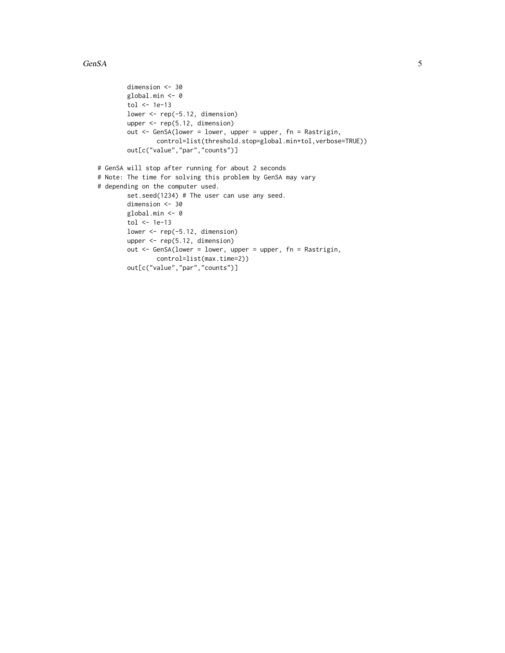```
dimension <- 30
       global.min <- 0
       tol <- 1e-13
       lower \leq rep(-5.12, dimension)
       upper <- rep(5.12, dimension)
       out <- GenSA(lower = lower, upper = upper, fn = Rastrigin,
                control=list(threshold.stop=global.min+tol,verbose=TRUE))
       out[c("value","par","counts")]
# GenSA will stop after running for about 2 seconds
# Note: The time for solving this problem by GenSA may vary
# depending on the computer used.
       set.seed(1234) # The user can use any seed.
       dimension <- 30
       global.min <- 0
       tol <- 1e-13
       lower <- rep(-5.12, dimension)
       upper <- rep(5.12, dimension)
       out <- GenSA(lower = lower, upper = upper, fn = Rastrigin,
               control=list(max.time=2))
       out[c("value","par","counts")]
```